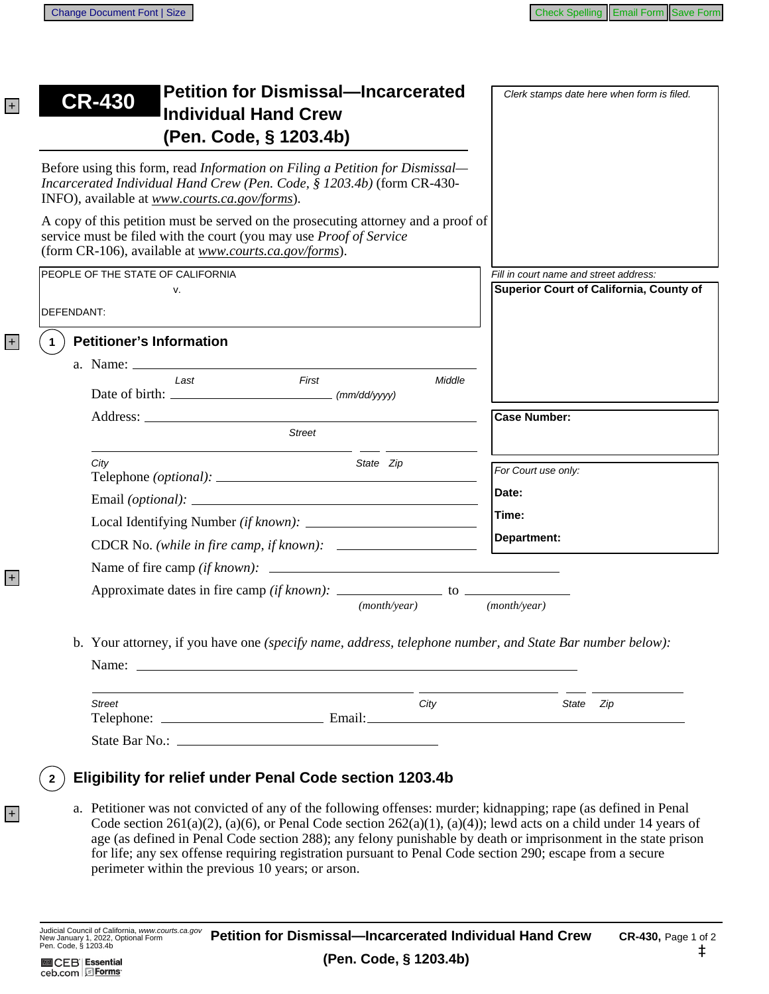| Before using this form, read Information on Filing a Petition for Dismissal—<br>Incarcerated Individual Hand Crew (Pen. Code, § 1203.4b) (form CR-430-<br>INFO), available at www.courts.ca.gov/forms).<br>Fill in court name and street address:<br>Superior Court of California, County of<br>v.<br><b>Petitioner's Information</b><br>1<br>Last<br>First<br>Middle<br><b>Case Number:</b><br>Street<br>City<br>State Zip<br>For Court use only:<br>Date:<br>Time:<br>Department:<br><u> Liberature de la pro</u><br>(month/year)<br>(month/year)<br>b. Your attorney, if you have one (specify name, address, telephone number, and State Bar number below):<br>City<br><b>Street</b><br>State Zip | <b>Petition for Dismissal-Incarcerated</b><br><b>CR-430</b><br><b>Individual Hand Crew</b><br>(Pen. Code, § 1203.4b) | Clerk stamps date here when form is filed. |
|-------------------------------------------------------------------------------------------------------------------------------------------------------------------------------------------------------------------------------------------------------------------------------------------------------------------------------------------------------------------------------------------------------------------------------------------------------------------------------------------------------------------------------------------------------------------------------------------------------------------------------------------------------------------------------------------------------|----------------------------------------------------------------------------------------------------------------------|--------------------------------------------|
| A copy of this petition must be served on the prosecuting attorney and a proof of<br>service must be filed with the court (you may use Proof of Service<br>(form CR-106), available at www.courts.ca.gov/forms).<br>PEOPLE OF THE STATE OF CALIFORNIA<br>DEFENDANT:                                                                                                                                                                                                                                                                                                                                                                                                                                   |                                                                                                                      |                                            |
|                                                                                                                                                                                                                                                                                                                                                                                                                                                                                                                                                                                                                                                                                                       |                                                                                                                      |                                            |
|                                                                                                                                                                                                                                                                                                                                                                                                                                                                                                                                                                                                                                                                                                       |                                                                                                                      |                                            |
|                                                                                                                                                                                                                                                                                                                                                                                                                                                                                                                                                                                                                                                                                                       |                                                                                                                      |                                            |
|                                                                                                                                                                                                                                                                                                                                                                                                                                                                                                                                                                                                                                                                                                       |                                                                                                                      |                                            |
|                                                                                                                                                                                                                                                                                                                                                                                                                                                                                                                                                                                                                                                                                                       |                                                                                                                      |                                            |
|                                                                                                                                                                                                                                                                                                                                                                                                                                                                                                                                                                                                                                                                                                       |                                                                                                                      |                                            |
|                                                                                                                                                                                                                                                                                                                                                                                                                                                                                                                                                                                                                                                                                                       |                                                                                                                      |                                            |
|                                                                                                                                                                                                                                                                                                                                                                                                                                                                                                                                                                                                                                                                                                       |                                                                                                                      |                                            |
|                                                                                                                                                                                                                                                                                                                                                                                                                                                                                                                                                                                                                                                                                                       |                                                                                                                      |                                            |
|                                                                                                                                                                                                                                                                                                                                                                                                                                                                                                                                                                                                                                                                                                       |                                                                                                                      |                                            |
|                                                                                                                                                                                                                                                                                                                                                                                                                                                                                                                                                                                                                                                                                                       |                                                                                                                      |                                            |
|                                                                                                                                                                                                                                                                                                                                                                                                                                                                                                                                                                                                                                                                                                       |                                                                                                                      |                                            |
|                                                                                                                                                                                                                                                                                                                                                                                                                                                                                                                                                                                                                                                                                                       |                                                                                                                      |                                            |
|                                                                                                                                                                                                                                                                                                                                                                                                                                                                                                                                                                                                                                                                                                       |                                                                                                                      |                                            |
|                                                                                                                                                                                                                                                                                                                                                                                                                                                                                                                                                                                                                                                                                                       |                                                                                                                      |                                            |
|                                                                                                                                                                                                                                                                                                                                                                                                                                                                                                                                                                                                                                                                                                       |                                                                                                                      |                                            |
|                                                                                                                                                                                                                                                                                                                                                                                                                                                                                                                                                                                                                                                                                                       |                                                                                                                      |                                            |
|                                                                                                                                                                                                                                                                                                                                                                                                                                                                                                                                                                                                                                                                                                       |                                                                                                                      |                                            |
|                                                                                                                                                                                                                                                                                                                                                                                                                                                                                                                                                                                                                                                                                                       |                                                                                                                      |                                            |
|                                                                                                                                                                                                                                                                                                                                                                                                                                                                                                                                                                                                                                                                                                       |                                                                                                                      |                                            |
|                                                                                                                                                                                                                                                                                                                                                                                                                                                                                                                                                                                                                                                                                                       |                                                                                                                      |                                            |
|                                                                                                                                                                                                                                                                                                                                                                                                                                                                                                                                                                                                                                                                                                       | a. Petitioner was not convicted of any of the following offenses: murder; kidnapping; rape (as defined in Penal      |                                            |

Code section 261(a)(2), (a)(6), or Penal Code section 262(a)(1), (a)(4)); lewd acts on a child under 14 years of age (as defined in Penal Code section 288); any felony punishable by death or imprisonment in the state prison for life; any sex offense requiring registration pursuant to Penal Code section 290; escape from a secure perimeter within the previous 10 years; or arson.

 $+$ 

+

 $+$ 

 $+$